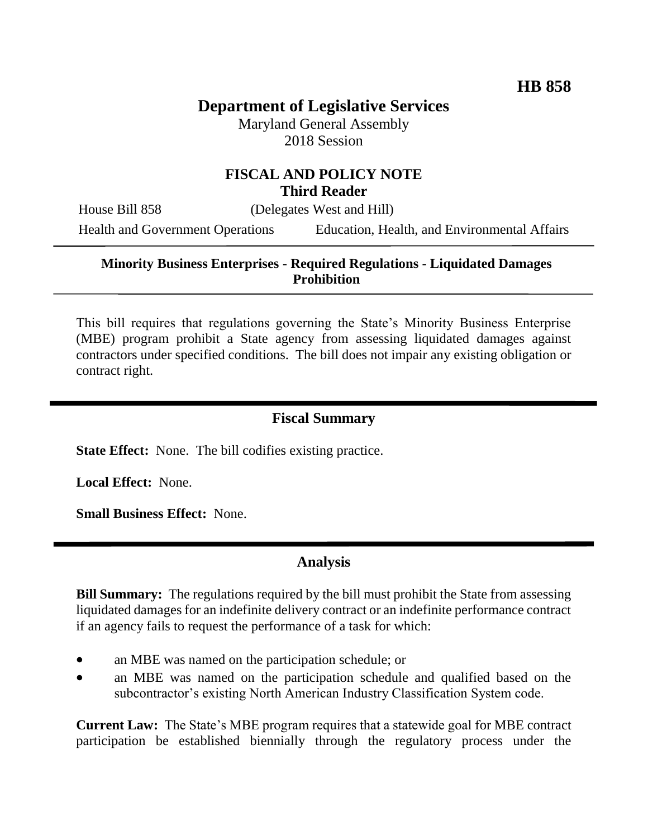# **Department of Legislative Services**

Maryland General Assembly 2018 Session

### **FISCAL AND POLICY NOTE Third Reader**

House Bill 858 (Delegates West and Hill)

Health and Government Operations Education, Health, and Environmental Affairs

## **Minority Business Enterprises - Required Regulations - Liquidated Damages Prohibition**

This bill requires that regulations governing the State's Minority Business Enterprise (MBE) program prohibit a State agency from assessing liquidated damages against contractors under specified conditions. The bill does not impair any existing obligation or contract right.

# **Fiscal Summary**

**State Effect:** None. The bill codifies existing practice.

**Local Effect:** None.

**Small Business Effect:** None.

#### **Analysis**

**Bill Summary:** The regulations required by the bill must prohibit the State from assessing liquidated damages for an indefinite delivery contract or an indefinite performance contract if an agency fails to request the performance of a task for which:

- an MBE was named on the participation schedule; or
- an MBE was named on the participation schedule and qualified based on the subcontractor's existing North American Industry Classification System code.

**Current Law:** The State's MBE program requires that a statewide goal for MBE contract participation be established biennially through the regulatory process under the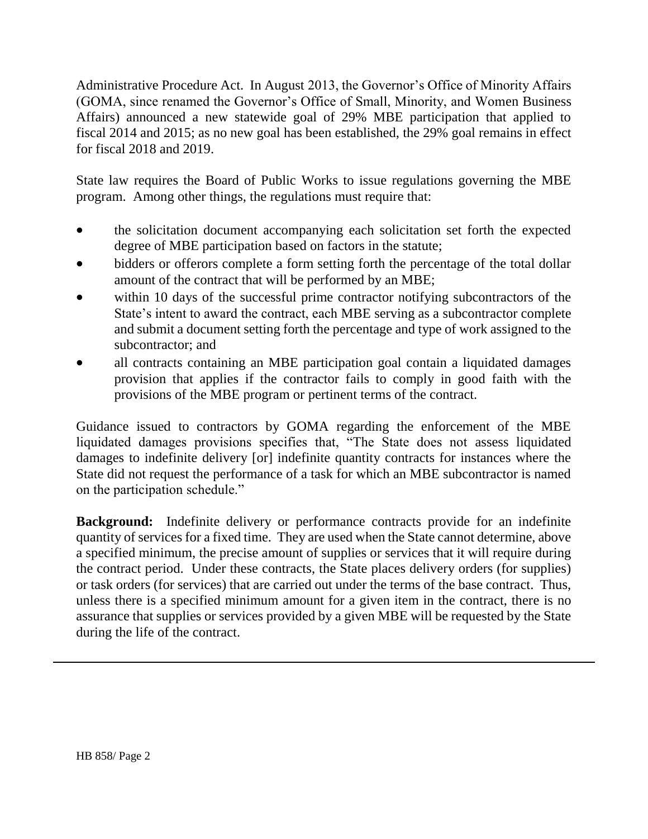Administrative Procedure Act. In August 2013, the Governor's Office of Minority Affairs (GOMA, since renamed the Governor's Office of Small, Minority, and Women Business Affairs) announced a new statewide goal of 29% MBE participation that applied to fiscal 2014 and 2015; as no new goal has been established, the 29% goal remains in effect for fiscal 2018 and 2019.

State law requires the Board of Public Works to issue regulations governing the MBE program. Among other things, the regulations must require that:

- the solicitation document accompanying each solicitation set forth the expected degree of MBE participation based on factors in the statute;
- bidders or offerors complete a form setting forth the percentage of the total dollar amount of the contract that will be performed by an MBE;
- within 10 days of the successful prime contractor notifying subcontractors of the State's intent to award the contract, each MBE serving as a subcontractor complete and submit a document setting forth the percentage and type of work assigned to the subcontractor; and
- all contracts containing an MBE participation goal contain a liquidated damages provision that applies if the contractor fails to comply in good faith with the provisions of the MBE program or pertinent terms of the contract.

Guidance issued to contractors by GOMA regarding the enforcement of the MBE liquidated damages provisions specifies that, "The State does not assess liquidated damages to indefinite delivery [or] indefinite quantity contracts for instances where the State did not request the performance of a task for which an MBE subcontractor is named on the participation schedule."

**Background:** Indefinite delivery or performance contracts provide for an indefinite quantity of services for a fixed time. They are used when the State cannot determine, above a specified minimum, the precise amount of supplies or services that it will require during the contract period. Under these contracts, the State places delivery orders (for supplies) or task orders (for services) that are carried out under the terms of the base contract. Thus, unless there is a specified minimum amount for a given item in the contract, there is no assurance that supplies or services provided by a given MBE will be requested by the State during the life of the contract.